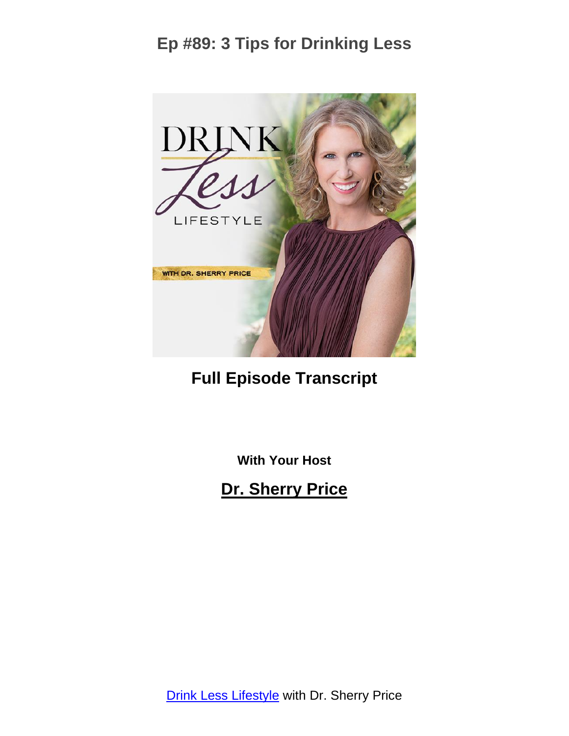

#### **Full Episode Transcript**

**With Your Host**

**Dr. Sherry Price**

**Drink Less [Lifestyle](https://sherryprice.com/podcast) with Dr. Sherry Price**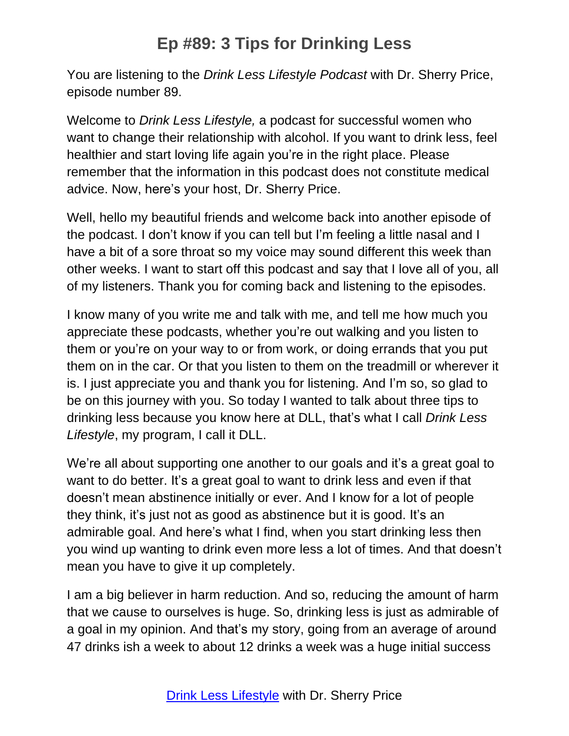You are listening to the *Drink Less Lifestyle Podcast* with Dr. Sherry Price, episode number 89.

Welcome to *Drink Less Lifestyle,* a podcast for successful women who want to change their relationship with alcohol. If you want to drink less, feel healthier and start loving life again you're in the right place. Please remember that the information in this podcast does not constitute medical advice. Now, here's your host, Dr. Sherry Price.

Well, hello my beautiful friends and welcome back into another episode of the podcast. I don't know if you can tell but I'm feeling a little nasal and I have a bit of a sore throat so my voice may sound different this week than other weeks. I want to start off this podcast and say that I love all of you, all of my listeners. Thank you for coming back and listening to the episodes.

I know many of you write me and talk with me, and tell me how much you appreciate these podcasts, whether you're out walking and you listen to them or you're on your way to or from work, or doing errands that you put them on in the car. Or that you listen to them on the treadmill or wherever it is. I just appreciate you and thank you for listening. And I'm so, so glad to be on this journey with you. So today I wanted to talk about three tips to drinking less because you know here at DLL, that's what I call *Drink Less Lifestyle*, my program, I call it DLL.

We're all about supporting one another to our goals and it's a great goal to want to do better. It's a great goal to want to drink less and even if that doesn't mean abstinence initially or ever. And I know for a lot of people they think, it's just not as good as abstinence but it is good. It's an admirable goal. And here's what I find, when you start drinking less then you wind up wanting to drink even more less a lot of times. And that doesn't mean you have to give it up completely.

I am a big believer in harm reduction. And so, reducing the amount of harm that we cause to ourselves is huge. So, drinking less is just as admirable of a goal in my opinion. And that's my story, going from an average of around 47 drinks ish a week to about 12 drinks a week was a huge initial success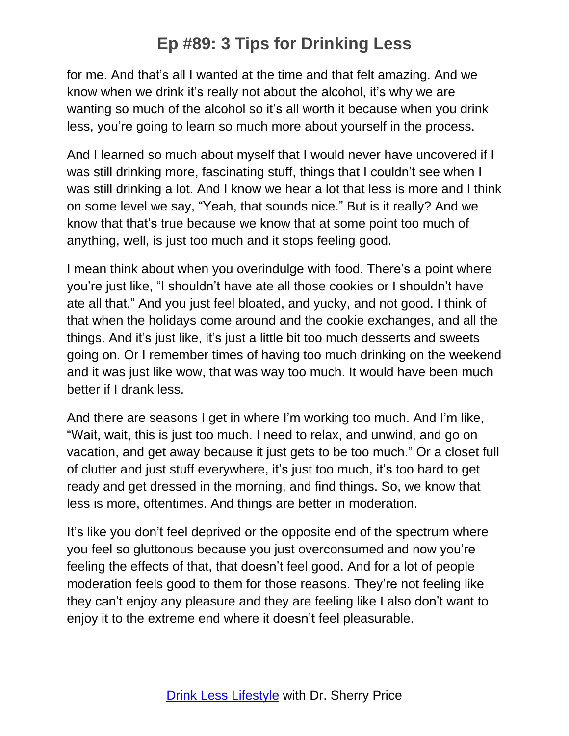for me. And that's all I wanted at the time and that felt amazing. And we know when we drink it's really not about the alcohol, it's why we are wanting so much of the alcohol so it's all worth it because when you drink less, you're going to learn so much more about yourself in the process.

And I learned so much about myself that I would never have uncovered if I was still drinking more, fascinating stuff, things that I couldn't see when I was still drinking a lot. And I know we hear a lot that less is more and I think on some level we say, "Yeah, that sounds nice." But is it really? And we know that that's true because we know that at some point too much of anything, well, is just too much and it stops feeling good.

I mean think about when you overindulge with food. There's a point where you're just like, "I shouldn't have ate all those cookies or I shouldn't have ate all that." And you just feel bloated, and yucky, and not good. I think of that when the holidays come around and the cookie exchanges, and all the things. And it's just like, it's just a little bit too much desserts and sweets going on. Or I remember times of having too much drinking on the weekend and it was just like wow, that was way too much. It would have been much better if I drank less.

And there are seasons I get in where I'm working too much. And I'm like, "Wait, wait, this is just too much. I need to relax, and unwind, and go on vacation, and get away because it just gets to be too much." Or a closet full of clutter and just stuff everywhere, it's just too much, it's too hard to get ready and get dressed in the morning, and find things. So, we know that less is more, oftentimes. And things are better in moderation.

It's like you don't feel deprived or the opposite end of the spectrum where you feel so gluttonous because you just overconsumed and now you're feeling the effects of that, that doesn't feel good. And for a lot of people moderation feels good to them for those reasons. They're not feeling like they can't enjoy any pleasure and they are feeling like I also don't want to enjoy it to the extreme end where it doesn't feel pleasurable.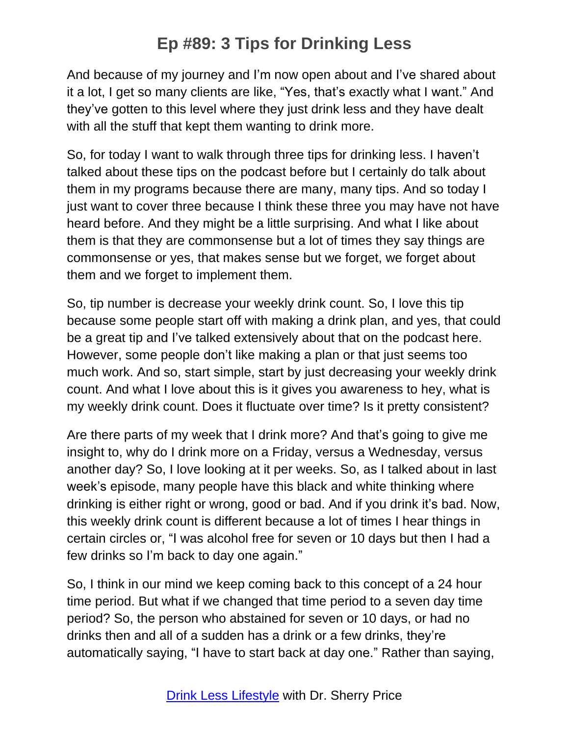And because of my journey and I'm now open about and I've shared about it a lot, I get so many clients are like, "Yes, that's exactly what I want." And they've gotten to this level where they just drink less and they have dealt with all the stuff that kept them wanting to drink more.

So, for today I want to walk through three tips for drinking less. I haven't talked about these tips on the podcast before but I certainly do talk about them in my programs because there are many, many tips. And so today I just want to cover three because I think these three you may have not have heard before. And they might be a little surprising. And what I like about them is that they are commonsense but a lot of times they say things are commonsense or yes, that makes sense but we forget, we forget about them and we forget to implement them.

So, tip number is decrease your weekly drink count. So, I love this tip because some people start off with making a drink plan, and yes, that could be a great tip and I've talked extensively about that on the podcast here. However, some people don't like making a plan or that just seems too much work. And so, start simple, start by just decreasing your weekly drink count. And what I love about this is it gives you awareness to hey, what is my weekly drink count. Does it fluctuate over time? Is it pretty consistent?

Are there parts of my week that I drink more? And that's going to give me insight to, why do I drink more on a Friday, versus a Wednesday, versus another day? So, I love looking at it per weeks. So, as I talked about in last week's episode, many people have this black and white thinking where drinking is either right or wrong, good or bad. And if you drink it's bad. Now, this weekly drink count is different because a lot of times I hear things in certain circles or, "I was alcohol free for seven or 10 days but then I had a few drinks so I'm back to day one again."

So, I think in our mind we keep coming back to this concept of a 24 hour time period. But what if we changed that time period to a seven day time period? So, the person who abstained for seven or 10 days, or had no drinks then and all of a sudden has a drink or a few drinks, they're automatically saying, "I have to start back at day one." Rather than saying,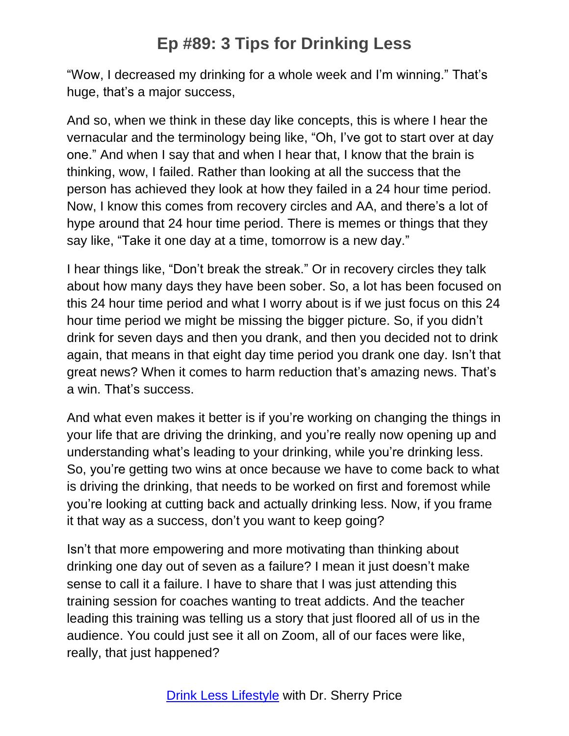"Wow, I decreased my drinking for a whole week and I'm winning." That's huge, that's a major success,

And so, when we think in these day like concepts, this is where I hear the vernacular and the terminology being like, "Oh, I've got to start over at day one." And when I say that and when I hear that, I know that the brain is thinking, wow, I failed. Rather than looking at all the success that the person has achieved they look at how they failed in a 24 hour time period. Now, I know this comes from recovery circles and AA, and there's a lot of hype around that 24 hour time period. There is memes or things that they say like, "Take it one day at a time, tomorrow is a new day."

I hear things like, "Don't break the streak." Or in recovery circles they talk about how many days they have been sober. So, a lot has been focused on this 24 hour time period and what I worry about is if we just focus on this 24 hour time period we might be missing the bigger picture. So, if you didn't drink for seven days and then you drank, and then you decided not to drink again, that means in that eight day time period you drank one day. Isn't that great news? When it comes to harm reduction that's amazing news. That's a win. That's success.

And what even makes it better is if you're working on changing the things in your life that are driving the drinking, and you're really now opening up and understanding what's leading to your drinking, while you're drinking less. So, you're getting two wins at once because we have to come back to what is driving the drinking, that needs to be worked on first and foremost while you're looking at cutting back and actually drinking less. Now, if you frame it that way as a success, don't you want to keep going?

Isn't that more empowering and more motivating than thinking about drinking one day out of seven as a failure? I mean it just doesn't make sense to call it a failure. I have to share that I was just attending this training session for coaches wanting to treat addicts. And the teacher leading this training was telling us a story that just floored all of us in the audience. You could just see it all on Zoom, all of our faces were like, really, that just happened?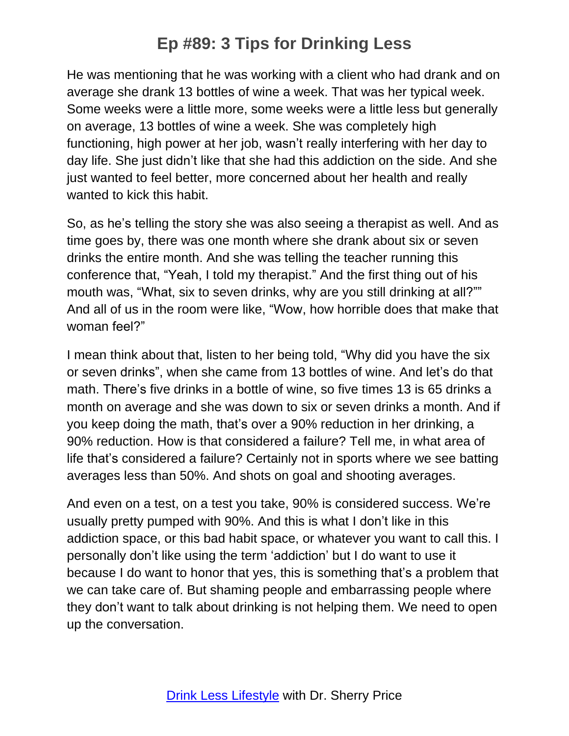He was mentioning that he was working with a client who had drank and on average she drank 13 bottles of wine a week. That was her typical week. Some weeks were a little more, some weeks were a little less but generally on average, 13 bottles of wine a week. She was completely high functioning, high power at her job, wasn't really interfering with her day to day life. She just didn't like that she had this addiction on the side. And she just wanted to feel better, more concerned about her health and really wanted to kick this habit.

So, as he's telling the story she was also seeing a therapist as well. And as time goes by, there was one month where she drank about six or seven drinks the entire month. And she was telling the teacher running this conference that, "Yeah, I told my therapist." And the first thing out of his mouth was, "What, six to seven drinks, why are you still drinking at all?"" And all of us in the room were like, "Wow, how horrible does that make that woman feel?"

I mean think about that, listen to her being told, "Why did you have the six or seven drinks", when she came from 13 bottles of wine. And let's do that math. There's five drinks in a bottle of wine, so five times 13 is 65 drinks a month on average and she was down to six or seven drinks a month. And if you keep doing the math, that's over a 90% reduction in her drinking, a 90% reduction. How is that considered a failure? Tell me, in what area of life that's considered a failure? Certainly not in sports where we see batting averages less than 50%. And shots on goal and shooting averages.

And even on a test, on a test you take, 90% is considered success. We're usually pretty pumped with 90%. And this is what I don't like in this addiction space, or this bad habit space, or whatever you want to call this. I personally don't like using the term 'addiction' but I do want to use it because I do want to honor that yes, this is something that's a problem that we can take care of. But shaming people and embarrassing people where they don't want to talk about drinking is not helping them. We need to open up the conversation.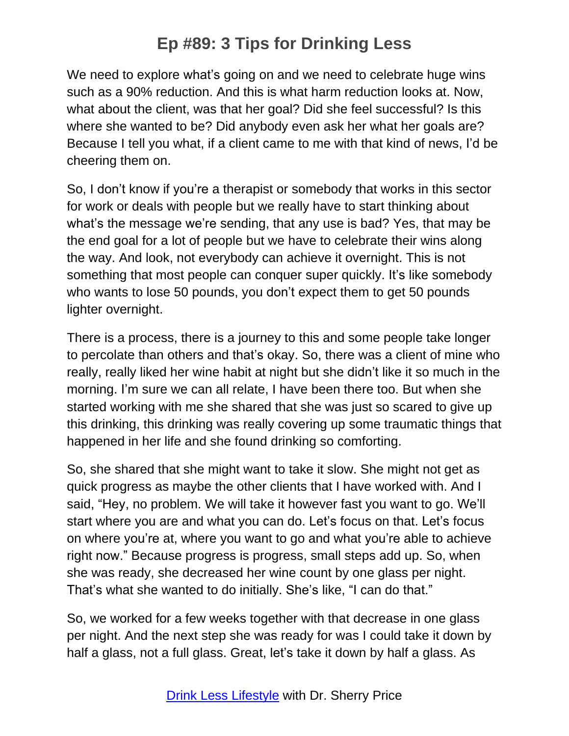We need to explore what's going on and we need to celebrate huge wins such as a 90% reduction. And this is what harm reduction looks at. Now, what about the client, was that her goal? Did she feel successful? Is this where she wanted to be? Did anybody even ask her what her goals are? Because I tell you what, if a client came to me with that kind of news, I'd be cheering them on.

So, I don't know if you're a therapist or somebody that works in this sector for work or deals with people but we really have to start thinking about what's the message we're sending, that any use is bad? Yes, that may be the end goal for a lot of people but we have to celebrate their wins along the way. And look, not everybody can achieve it overnight. This is not something that most people can conquer super quickly. It's like somebody who wants to lose 50 pounds, you don't expect them to get 50 pounds lighter overnight.

There is a process, there is a journey to this and some people take longer to percolate than others and that's okay. So, there was a client of mine who really, really liked her wine habit at night but she didn't like it so much in the morning. I'm sure we can all relate, I have been there too. But when she started working with me she shared that she was just so scared to give up this drinking, this drinking was really covering up some traumatic things that happened in her life and she found drinking so comforting.

So, she shared that she might want to take it slow. She might not get as quick progress as maybe the other clients that I have worked with. And I said, "Hey, no problem. We will take it however fast you want to go. We'll start where you are and what you can do. Let's focus on that. Let's focus on where you're at, where you want to go and what you're able to achieve right now." Because progress is progress, small steps add up. So, when she was ready, she decreased her wine count by one glass per night. That's what she wanted to do initially. She's like, "I can do that."

So, we worked for a few weeks together with that decrease in one glass per night. And the next step she was ready for was I could take it down by half a glass, not a full glass. Great, let's take it down by half a glass. As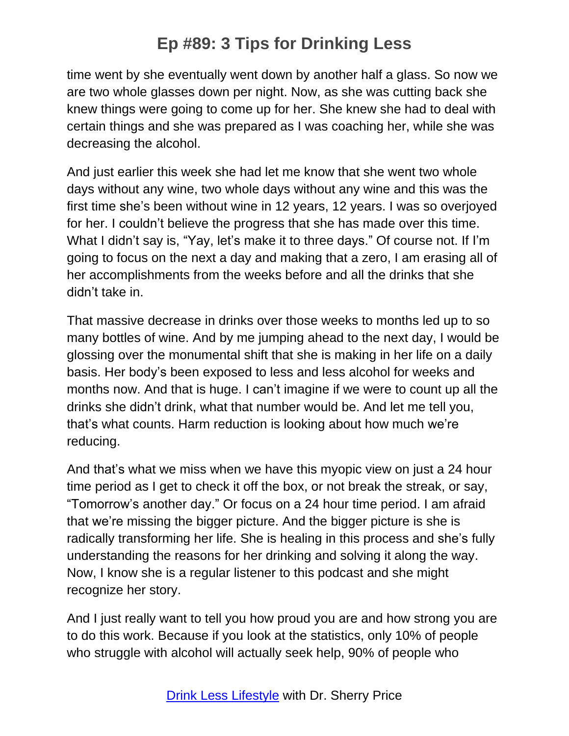time went by she eventually went down by another half a glass. So now we are two whole glasses down per night. Now, as she was cutting back she knew things were going to come up for her. She knew she had to deal with certain things and she was prepared as I was coaching her, while she was decreasing the alcohol.

And just earlier this week she had let me know that she went two whole days without any wine, two whole days without any wine and this was the first time she's been without wine in 12 years, 12 years. I was so overjoyed for her. I couldn't believe the progress that she has made over this time. What I didn't say is, "Yay, let's make it to three days." Of course not. If I'm going to focus on the next a day and making that a zero, I am erasing all of her accomplishments from the weeks before and all the drinks that she didn't take in.

That massive decrease in drinks over those weeks to months led up to so many bottles of wine. And by me jumping ahead to the next day, I would be glossing over the monumental shift that she is making in her life on a daily basis. Her body's been exposed to less and less alcohol for weeks and months now. And that is huge. I can't imagine if we were to count up all the drinks she didn't drink, what that number would be. And let me tell you, that's what counts. Harm reduction is looking about how much we're reducing.

And that's what we miss when we have this myopic view on just a 24 hour time period as I get to check it off the box, or not break the streak, or say, "Tomorrow's another day." Or focus on a 24 hour time period. I am afraid that we're missing the bigger picture. And the bigger picture is she is radically transforming her life. She is healing in this process and she's fully understanding the reasons for her drinking and solving it along the way. Now, I know she is a regular listener to this podcast and she might recognize her story.

And I just really want to tell you how proud you are and how strong you are to do this work. Because if you look at the statistics, only 10% of people who struggle with alcohol will actually seek help, 90% of people who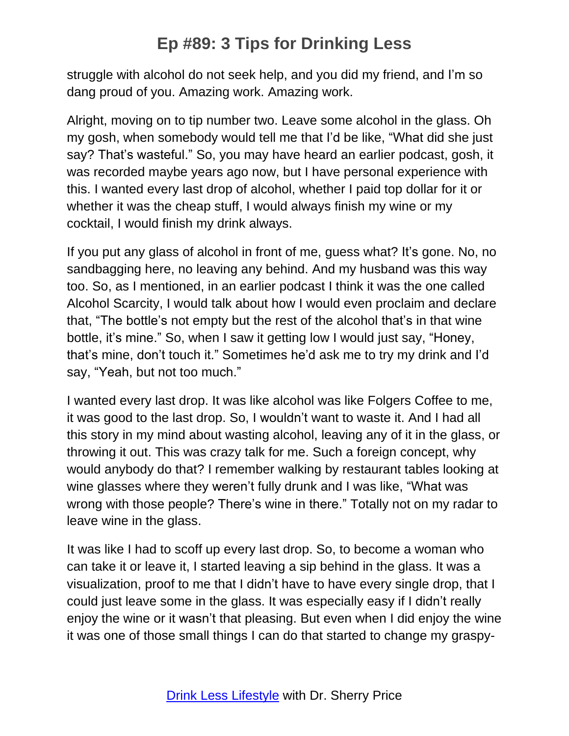struggle with alcohol do not seek help, and you did my friend, and I'm so dang proud of you. Amazing work. Amazing work.

Alright, moving on to tip number two. Leave some alcohol in the glass. Oh my gosh, when somebody would tell me that I'd be like, "What did she just say? That's wasteful." So, you may have heard an earlier podcast, gosh, it was recorded maybe years ago now, but I have personal experience with this. I wanted every last drop of alcohol, whether I paid top dollar for it or whether it was the cheap stuff, I would always finish my wine or my cocktail, I would finish my drink always.

If you put any glass of alcohol in front of me, guess what? It's gone. No, no sandbagging here, no leaving any behind. And my husband was this way too. So, as I mentioned, in an earlier podcast I think it was the one called Alcohol Scarcity, I would talk about how I would even proclaim and declare that, "The bottle's not empty but the rest of the alcohol that's in that wine bottle, it's mine." So, when I saw it getting low I would just say, "Honey, that's mine, don't touch it." Sometimes he'd ask me to try my drink and I'd say, "Yeah, but not too much."

I wanted every last drop. It was like alcohol was like Folgers Coffee to me, it was good to the last drop. So, I wouldn't want to waste it. And I had all this story in my mind about wasting alcohol, leaving any of it in the glass, or throwing it out. This was crazy talk for me. Such a foreign concept, why would anybody do that? I remember walking by restaurant tables looking at wine glasses where they weren't fully drunk and I was like, "What was wrong with those people? There's wine in there." Totally not on my radar to leave wine in the glass.

It was like I had to scoff up every last drop. So, to become a woman who can take it or leave it, I started leaving a sip behind in the glass. It was a visualization, proof to me that I didn't have to have every single drop, that I could just leave some in the glass. It was especially easy if I didn't really enjoy the wine or it wasn't that pleasing. But even when I did enjoy the wine it was one of those small things I can do that started to change my graspy-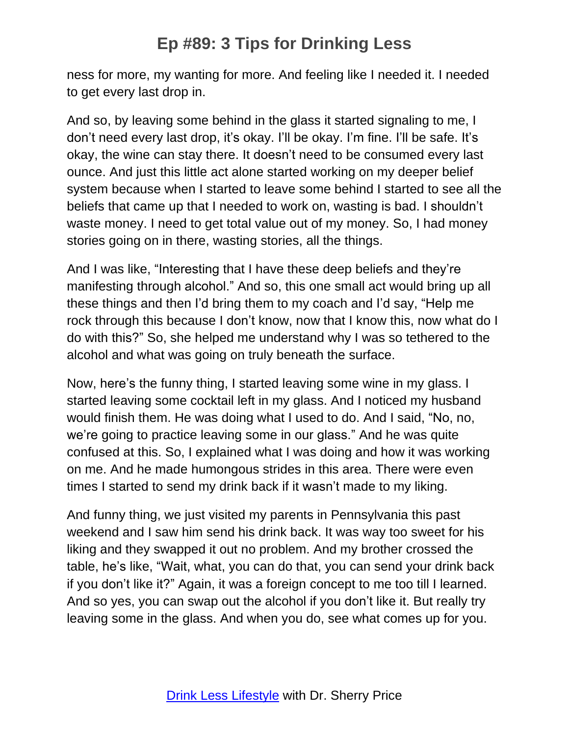ness for more, my wanting for more. And feeling like I needed it. I needed to get every last drop in.

And so, by leaving some behind in the glass it started signaling to me, I don't need every last drop, it's okay. I'll be okay. I'm fine. I'll be safe. It's okay, the wine can stay there. It doesn't need to be consumed every last ounce. And just this little act alone started working on my deeper belief system because when I started to leave some behind I started to see all the beliefs that came up that I needed to work on, wasting is bad. I shouldn't waste money. I need to get total value out of my money. So, I had money stories going on in there, wasting stories, all the things.

And I was like, "Interesting that I have these deep beliefs and they're manifesting through alcohol." And so, this one small act would bring up all these things and then I'd bring them to my coach and I'd say, "Help me rock through this because I don't know, now that I know this, now what do I do with this?" So, she helped me understand why I was so tethered to the alcohol and what was going on truly beneath the surface.

Now, here's the funny thing, I started leaving some wine in my glass. I started leaving some cocktail left in my glass. And I noticed my husband would finish them. He was doing what I used to do. And I said, "No, no, we're going to practice leaving some in our glass." And he was quite confused at this. So, I explained what I was doing and how it was working on me. And he made humongous strides in this area. There were even times I started to send my drink back if it wasn't made to my liking.

And funny thing, we just visited my parents in Pennsylvania this past weekend and I saw him send his drink back. It was way too sweet for his liking and they swapped it out no problem. And my brother crossed the table, he's like, "Wait, what, you can do that, you can send your drink back if you don't like it?" Again, it was a foreign concept to me too till I learned. And so yes, you can swap out the alcohol if you don't like it. But really try leaving some in the glass. And when you do, see what comes up for you.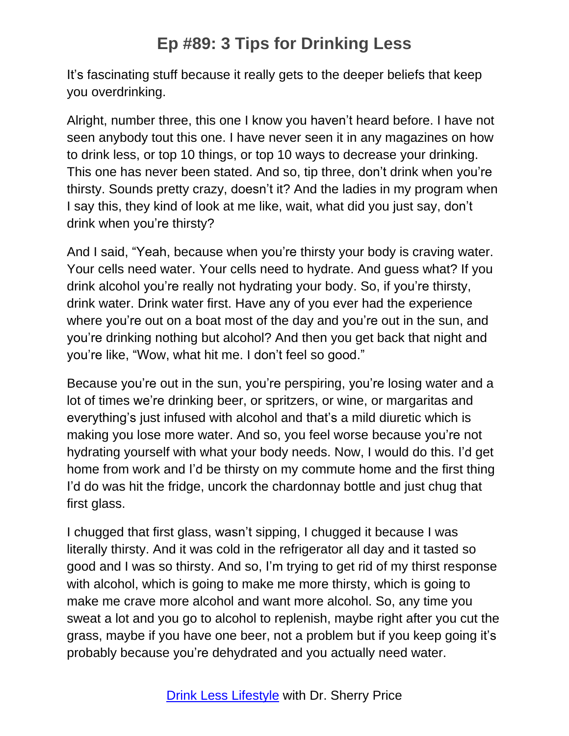It's fascinating stuff because it really gets to the deeper beliefs that keep you overdrinking.

Alright, number three, this one I know you haven't heard before. I have not seen anybody tout this one. I have never seen it in any magazines on how to drink less, or top 10 things, or top 10 ways to decrease your drinking. This one has never been stated. And so, tip three, don't drink when you're thirsty. Sounds pretty crazy, doesn't it? And the ladies in my program when I say this, they kind of look at me like, wait, what did you just say, don't drink when you're thirsty?

And I said, "Yeah, because when you're thirsty your body is craving water. Your cells need water. Your cells need to hydrate. And guess what? If you drink alcohol you're really not hydrating your body. So, if you're thirsty, drink water. Drink water first. Have any of you ever had the experience where you're out on a boat most of the day and you're out in the sun, and you're drinking nothing but alcohol? And then you get back that night and you're like, "Wow, what hit me. I don't feel so good."

Because you're out in the sun, you're perspiring, you're losing water and a lot of times we're drinking beer, or spritzers, or wine, or margaritas and everything's just infused with alcohol and that's a mild diuretic which is making you lose more water. And so, you feel worse because you're not hydrating yourself with what your body needs. Now, I would do this. I'd get home from work and I'd be thirsty on my commute home and the first thing I'd do was hit the fridge, uncork the chardonnay bottle and just chug that first glass.

I chugged that first glass, wasn't sipping, I chugged it because I was literally thirsty. And it was cold in the refrigerator all day and it tasted so good and I was so thirsty. And so, I'm trying to get rid of my thirst response with alcohol, which is going to make me more thirsty, which is going to make me crave more alcohol and want more alcohol. So, any time you sweat a lot and you go to alcohol to replenish, maybe right after you cut the grass, maybe if you have one beer, not a problem but if you keep going it's probably because you're dehydrated and you actually need water.